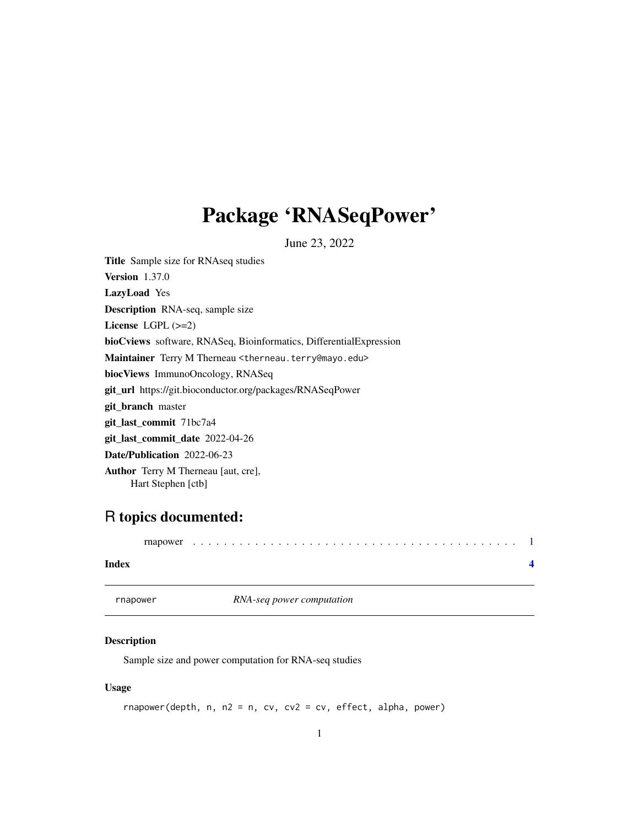## <span id="page-0-0"></span>Package 'RNASeqPower'

June 23, 2022

Title Sample size for RNAseq studies Version 1.37.0 LazyLoad Yes Description RNA-seq, sample size License LGPL (>=2) bioCviews software, RNASeq, Bioinformatics, DifferentialExpression Maintainer Terry M Therneau <therneau.terry@mayo.edu> biocViews ImmunoOncology, RNASeq git\_url https://git.bioconductor.org/packages/RNASeqPower git\_branch master git\_last\_commit 71bc7a4 git\_last\_commit\_date 2022-04-26 Date/Publication 2022-06-23 Author Terry M Therneau [aut, cre], Hart Stephen [ctb]

### R topics documented:

| Index |  |  |  |  |  |  |  |  |  |  |  |  |  |  |  |  |  |  |  |
|-------|--|--|--|--|--|--|--|--|--|--|--|--|--|--|--|--|--|--|--|

rnapower *RNA-seq power computation*

#### Description

Sample size and power computation for RNA-seq studies

#### Usage

rnapower(depth, n, n2 = n, cv, cv2 = cv, effect, alpha, power)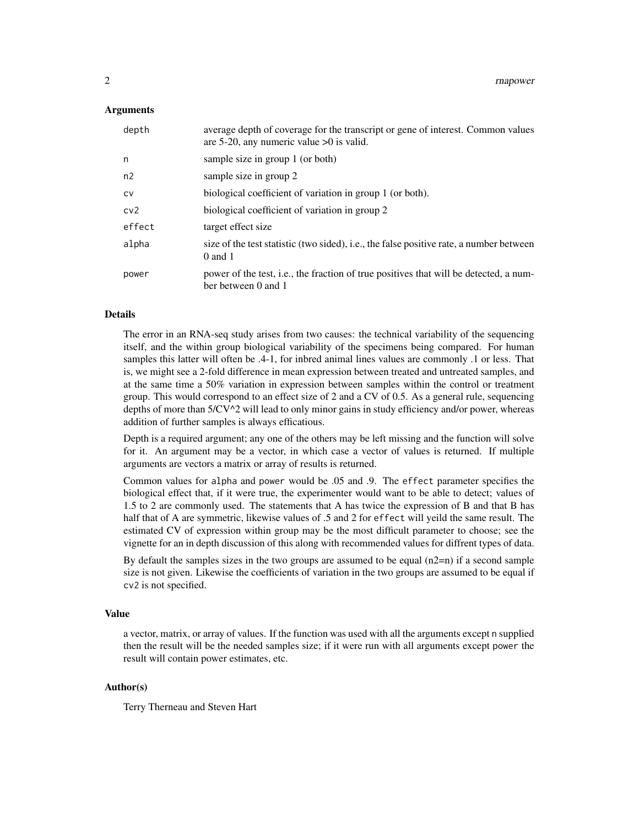#### Arguments

| depth           | average depth of coverage for the transcript or gene of interest. Common values<br>are 5-20, any numeric value $>0$ is valid. |
|-----------------|-------------------------------------------------------------------------------------------------------------------------------|
| n               | sample size in group 1 (or both)                                                                                              |
| n2              | sample size in group 2                                                                                                        |
| <b>CV</b>       | biological coefficient of variation in group 1 (or both).                                                                     |
| cv <sub>2</sub> | biological coefficient of variation in group 2                                                                                |
| effect          | target effect size                                                                                                            |
| alpha           | size of the test statistic (two sided), i.e., the false positive rate, a number between<br>$0$ and 1                          |
| power           | power of the test, i.e., the fraction of true positives that will be detected, a num-<br>ber between 0 and 1                  |

#### Details

The error in an RNA-seq study arises from two causes: the technical variability of the sequencing itself, and the within group biological variability of the specimens being compared. For human samples this latter will often be .4-1, for inbred animal lines values are commonly .1 or less. That is, we might see a 2-fold difference in mean expression between treated and untreated samples, and at the same time a 50% variation in expression between samples within the control or treatment group. This would correspond to an effect size of 2 and a CV of 0.5. As a general rule, sequencing depths of more than 5/CV^2 will lead to only minor gains in study efficiency and/or power, whereas addition of further samples is always efficatious.

Depth is a required argument; any one of the others may be left missing and the function will solve for it. An argument may be a vector, in which case a vector of values is returned. If multiple arguments are vectors a matrix or array of results is returned.

Common values for alpha and power would be .05 and .9. The effect parameter specifies the biological effect that, if it were true, the experimenter would want to be able to detect; values of 1.5 to 2 are commonly used. The statements that A has twice the expression of B and that B has half that of A are symmetric, likewise values of .5 and 2 for effect will yeild the same result. The estimated CV of expression within group may be the most difficult parameter to choose; see the vignette for an in depth discussion of this along with recommended values for diffrent types of data.

By default the samples sizes in the two groups are assumed to be equal  $(n2=n)$  if a second sample size is not given. Likewise the coefficients of variation in the two groups are assumed to be equal if cv2 is not specified.

#### Value

a vector, matrix, or array of values. If the function was used with all the arguments except n supplied then the result will be the needed samples size; if it were run with all arguments except power the result will contain power estimates, etc.

#### Author(s)

Terry Therneau and Steven Hart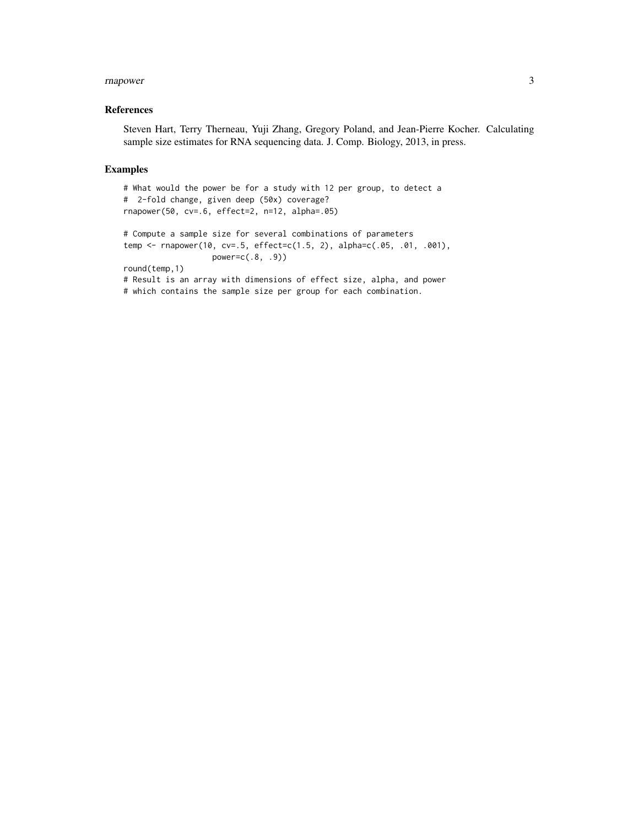#### rnapower 3 and 3 and 3 and 3 and 3 and 3 and 3 and 3 and 3 and 3 and 3 and 3 and 3 and 3 and 3 and 3 and 3 and 3 and 3 and 3 and 3 and 3 and 3 and 3 and 3 and 3 and 3 and 3 and 3 and 3 and 3 and 3 and 3 and 3 and 3 and 3 a

#### References

Steven Hart, Terry Therneau, Yuji Zhang, Gregory Poland, and Jean-Pierre Kocher. Calculating sample size estimates for RNA sequencing data. J. Comp. Biology, 2013, in press.

#### Examples

```
# What would the power be for a study with 12 per group, to detect a
# 2-fold change, given deep (50x) coverage?
rnapower(50, cv=.6, effect=2, n=12, alpha=.05)
# Compute a sample size for several combinations of parameters
temp <- rnapower(10, cv=.5, effect=c(1.5, 2), alpha=c(.05, .01, .001),
                  power=c(.8, .9))
round(temp,1)
# Result is an array with dimensions of effect size, alpha, and power
# which contains the sample size per group for each combination.
```